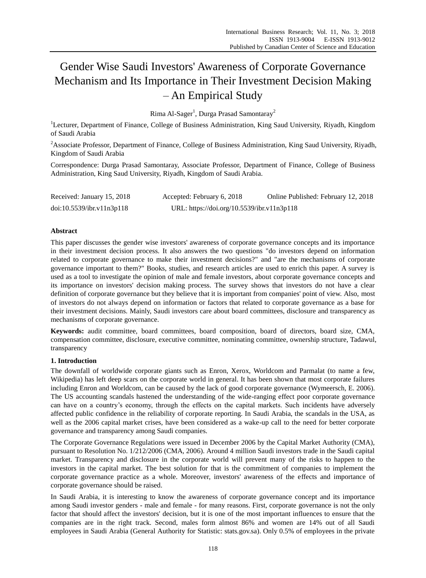# Gender Wise Saudi Investors' Awareness of Corporate Governance Mechanism and Its Importance in Their Investment Decision Making – An Empirical Study

Rima Al-Sager<sup>1</sup>, Durga Prasad Samontaray<sup>2</sup>

<sup>1</sup>Lecturer, Department of Finance, College of Business Administration, King Saud University, Riyadh, Kingdom of Saudi Arabia

<sup>2</sup>Associate Professor, Department of Finance, College of Business Administration, King Saud University, Riyadh, Kingdom of Saudi Arabia

Correspondence: Durga Prasad Samontaray, Associate Professor, Department of Finance, College of Business Administration, King Saud University, Riyadh, Kingdom of Saudi Arabia.

| Received: January 15, 2018 | Accepted: February 6, 2018                 | Online Published: February 12, 2018 |
|----------------------------|--------------------------------------------|-------------------------------------|
| doi:10.5539/ibr.v11n3p118  | URL: https://doi.org/10.5539/ibr.v11n3p118 |                                     |

# **Abstract**

This paper discusses the gender wise investors' awareness of corporate governance concepts and its importance in their investment decision process. It also answers the two questions "do investors depend on information related to corporate governance to make their investment decisions?" and "are the mechanisms of corporate governance important to them?" Books, studies, and research articles are used to enrich this paper. A survey is used as a tool to investigate the opinion of male and female investors, about corporate governance concepts and its importance on investors' decision making process. The survey shows that investors do not have a clear definition of corporate governance but they believe that it is important from companies' point of view. Also, most of investors do not always depend on information or factors that related to corporate governance as a base for their investment decisions. Mainly, Saudi investors care about board committees, disclosure and transparency as mechanisms of corporate governance.

**Keywords:** audit committee, board committees, board composition, board of directors, board size, CMA, compensation committee, disclosure, executive committee, nominating committee, ownership structure, Tadawul, transparency

# **1. Introduction**

The downfall of worldwide corporate giants such as Enron, Xerox, Worldcom and Parmalat (to name a few, Wikipedia) has left deep scars on the corporate world in general. It has been shown that most corporate failures including Enron and Worldcom, can be caused by the lack of good corporate governance (Wymeersch, E. 2006). The US accounting scandals hastened the understanding of the wide-ranging effect poor corporate governance can have on a country's economy, through the effects on the capital markets. Such incidents have adversely affected public confidence in the reliability of corporate reporting. In Saudi Arabia, the scandals in the USA, as well as the 2006 capital market crises, have been considered as a wake-up call to the need for better corporate governance and transparency among Saudi companies.

The Corporate Governance Regulations were issued in December 2006 by the Capital Market Authority (CMA), pursuant to Resolution No. 1/212/2006 (CMA, 2006). Around 4 million Saudi investors trade in the Saudi capital market. Transparency and disclosure in the corporate world will prevent many of the risks to happen to the investors in the capital market. The best solution for that is the commitment of companies to implement the corporate governance practice as a whole. Moreover, investors' awareness of the effects and importance of corporate governance should be raised.

In Saudi Arabia, it is interesting to know the awareness of corporate governance concept and its importance among Saudi investor genders - male and female - for many reasons. First, corporate governance is not the only factor that should affect the investors' decision, but it is one of the most important influences to ensure that the companies are in the right track. Second, males form almost 86% and women are 14% out of all Saudi employees in Saudi Arabia (General Authority for Statistic: stats.gov.sa). Only 0.5% of employees in the private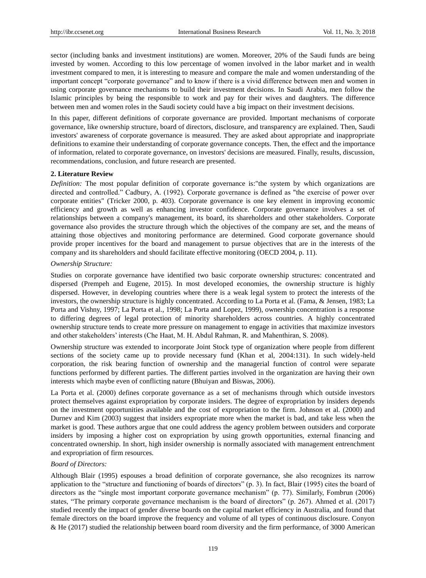sector (including banks and investment institutions) are women. Moreover, 20% of the Saudi funds are being invested by women. According to this low percentage of women involved in the labor market and in wealth investment compared to men, it is interesting to measure and compare the male and women understanding of the important concept "corporate governance" and to know if there is a vivid difference between men and women in using corporate governance mechanisms to build their investment decisions. In Saudi Arabia, men follow the Islamic principles by being the responsible to work and pay for their wives and daughters. The difference between men and women roles in the Saudi society could have a big impact on their investment decisions.

In this paper, different definitions of corporate governance are provided. Important mechanisms of corporate governance, like ownership structure, board of directors, disclosure, and transparency are explained. Then, Saudi investors' awareness of corporate governance is measured. They are asked about appropriate and inappropriate definitions to examine their understanding of corporate governance concepts. Then, the effect and the importance of information, related to corporate governance, on investors' decisions are measured. Finally, results, discussion, recommendations, conclusion, and future research are presented.

## **2. Literature Review**

*Definition:* The most popular definition of corporate governance is: "the system by which organizations are directed and controlled." Cadbury, A. (1992). Corporate governance is defined as "the exercise of power over corporate entities" (Tricker 2000, p. 403). Corporate governance is one key element in improving economic efficiency and growth as well as enhancing investor confidence. Corporate governance involves a set of relationships between a company's management, its board, its shareholders and other stakeholders. Corporate governance also provides the structure through which the objectives of the company are set, and the means of attaining those objectives and monitoring performance are determined. Good corporate governance should provide proper incentives for the board and management to pursue objectives that are in the interests of the company and its shareholders and should facilitate effective monitoring (OECD 2004, p. 11).

## *Ownership Structure:*

Studies on corporate governance have identified two basic corporate ownership structures: concentrated and dispersed (Prempeh and Eugene, 2015). In most developed economies, the ownership structure is highly dispersed. However, in developing countries where there is a weak legal system to protect the interests of the investors, the ownership structure is highly concentrated. According to La Porta et al. (Fama, & Jensen, 1983; La Porta and Vishny, 1997; La Porta et al., 1998; La Porta and Lopez, 1999), ownership concentration is a response to differing degrees of legal protection of minority shareholders across countries. A highly concentrated ownership structure tends to create more pressure on management to engage in activities that maximize investors and other stakeholders' interests (Che Haat, M. H. Abdul Rahman, R. and Mahenthiran, S. 2008).

Ownership structure was extended to incorporate Joint Stock type of organization where people from different sections of the society came up to provide necessary fund (Khan et al, 2004:131). In such widely-held corporation, the risk bearing function of ownership and the managerial function of control were separate functions performed by different parties. The different parties involved in the organization are having their own interests which maybe even of conflicting nature (Bhuiyan and Biswas, 2006).

La Porta et al. (2000) defines corporate governance as a set of mechanisms through which outside investors protect themselves against expropriation by corporate insiders. The degree of expropriation by insiders depends on the investment opportunities available and the cost of expropriation to the firm. Johnson et al. (2000) and Durnev and Kim (2003) suggest that insiders expropriate more when the market is bad, and take less when the market is good. These authors argue that one could address the agency problem between outsiders and corporate insiders by imposing a higher cost on expropriation by using growth opportunities, external financing and concentrated ownership. In short, high insider ownership is normally associated with management entrenchment and expropriation of firm resources.

# *Board of Directors:*

Although Blair (1995) espouses a broad definition of corporate governance, she also recognizes its narrow application to the "structure and functioning of boards of directors" (p. 3). In fact, Blair (1995) cites the board of directors as the "single most important corporate governance mechanism" (p. 77). Similarly, Fombrun (2006) states, "The primary corporate governance mechanism is the board of directors" (p. 267). Ahmed et al. (2017) studied recently the impact of gender diverse boards on the capital market efficiency in Australia, and found that female directors on the board improve the frequency and volume of all types of continuous disclosure. Conyon & He (2017) studied the relationship between board room diversity and the firm performance, of 3000 American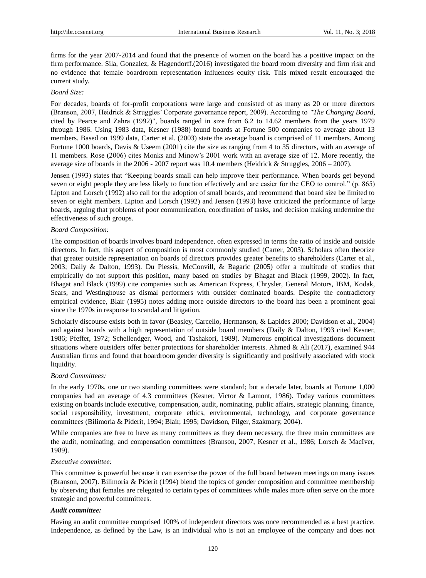firms for the year 2007-2014 and found that the presence of women on the board has a positive impact on the firm performance. Sila, Gonzalez, & Hagendorff.(2016) investigated the board room diversity and firm risk and no evidence that female boardroom representation influences equity risk. This mixed result encouraged the current study.

#### *Board Size:*

For decades, boards of for-profit corporations were large and consisted of as many as 20 or more directors (Branson, 2007, Heidrick & Struggles' Corporate governance report, 2009). According to *"The Changing Board*, cited by Pearce and Zahra (1992)", boards ranged in size from 6.2 to 14.62 members from the years 1979 through 1986. Using 1983 data, Kesner (1988) found boards at Fortune 500 companies to average about 13 members. Based on 1999 data, Carter et al. (2003) state the average board is comprised of 11 members. Among Fortune 1000 boards, Davis & Useem (2001) cite the size as ranging from 4 to 35 directors, with an average of 11 members. Rose (2006) cites Monks and Minow's 2001 work with an average size of 12. More recently, the average size of boards in the 2006 - 2007 report was 10.4 members (Heidrick & Struggles, 2006 – 2007).

Jensen (1993) states that "Keeping boards small can help improve their performance. When boards get beyond seven or eight people they are less likely to function effectively and are easier for the CEO to control." (p. 865) Lipton and Lorsch (1992) also call for the adoption of small boards, and recommend that board size be limited to seven or eight members. Lipton and Lorsch (1992) and Jensen (1993) have criticized the performance of large boards, arguing that problems of poor communication, coordination of tasks, and decision making undermine the effectiveness of such groups.

#### *Board Composition:*

The composition of boards involves board independence, often expressed in terms the ratio of inside and outside directors. In fact, this aspect of composition is most commonly studied (Carter, 2003). Scholars often theorize that greater outside representation on boards of directors provides greater benefits to shareholders (Carter et al., 2003; Daily & Dalton, 1993). Du Plessis, McConvill, & Bagaric (2005) offer a multitude of studies that empirically do not support this position, many based on studies by Bhagat and Black (1999, 2002). In fact, Bhagat and Black (1999) cite companies such as American Express, Chrysler, General Motors, IBM, Kodak, Sears, and Westinghouse as dismal performers with outsider dominated boards. Despite the contradictory empirical evidence, Blair (1995) notes adding more outside directors to the board has been a prominent goal since the 1970s in response to scandal and litigation.

Scholarly discourse exists both in favor (Beasley, Carcello, Hermanson, & Lapides 2000; Davidson et al., 2004) and against boards with a high representation of outside board members (Daily & Dalton, 1993 cited Kesner, 1986; Pfeffer, 1972; Schellendger, Wood, and Tashakori, 1989). Numerous empirical investigations document situations where outsiders offer better protections for shareholder interests. Ahmed & Ali (2017), examined 944 Australian firms and found that boardroom gender diversity is significantly and positively associated with stock liquidity.

## *Board Committees:*

In the early 1970s, one or two standing committees were standard; but a decade later, boards at Fortune 1,000 companies had an average of 4.3 committees (Kesner, Victor & Lamont, 1986). Today various committees existing on boards include executive, compensation, audit, nominating, public affairs, strategic planning, finance, social responsibility, investment, corporate ethics, environmental, technology, and corporate governance committees (Bilimoria & Piderit, 1994; Blair, 1995; Davidson, Pilger, Szakmary, 2004).

While companies are free to have as many committees as they deem necessary, the three main committees are the audit, nominating, and compensation committees (Branson, 2007, Kesner et al., 1986; Lorsch & MacIver, 1989).

#### *Executive committee:*

This committee is powerful because it can exercise the power of the full board between meetings on many issues (Branson, 2007). Bilimoria & Piderit (1994) blend the topics of gender composition and committee membership by observing that females are relegated to certain types of committees while males more often serve on the more strategic and powerful committees.

# *Audit committee:*

Having an audit committee comprised 100% of independent directors was once recommended as a best practice. Independence, as defined by the Law, is an individual who is not an employee of the company and does not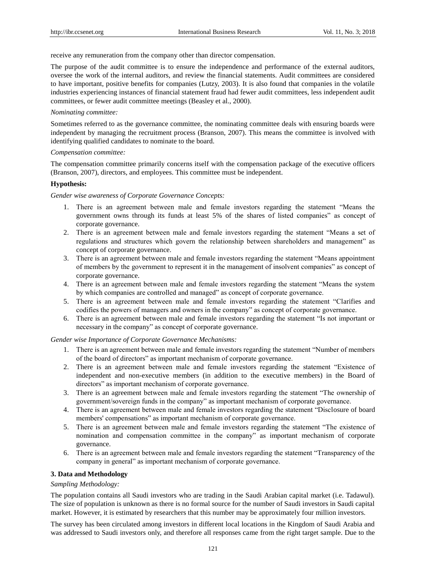receive any remuneration from the company other than director compensation.

The purpose of the audit committee is to ensure the independence and performance of the external auditors, oversee the work of the internal auditors, and review the financial statements. Audit committees are considered to have important, positive benefits for companies (Lutzy, 2003). It is also found that companies in the volatile industries experiencing instances of financial statement fraud had fewer audit committees, less independent audit committees, or fewer audit committee meetings (Beasley et al., 2000).

# *Nominating committee:*

Sometimes referred to as the governance committee, the nominating committee deals with ensuring boards were independent by managing the recruitment process (Branson, 2007). This means the committee is involved with identifying qualified candidates to nominate to the board.

# *Compensation committee:*

The compensation committee primarily concerns itself with the compensation package of the executive officers (Branson, 2007), directors, and employees. This committee must be independent.

# **Hypothesis:**

# *Gender wise awareness of Corporate Governance Concepts:*

- 1. There is an agreement between male and female investors regarding the statement "Means the government owns through its funds at least 5% of the shares of listed companies" as concept of corporate governance.
- 2. There is an agreement between male and female investors regarding the statement "Means a set of regulations and structures which govern the relationship between shareholders and management" as concept of corporate governance.
- 3. There is an agreement between male and female investors regarding the statement "Means appointment of members by the government to represent it in the management of insolvent companies" as concept of corporate governance.
- 4. There is an agreement between male and female investors regarding the statement "Means the system by which companies are controlled and managed" as concept of corporate governance.
- 5. There is an agreement between male and female investors regarding the statement "Clarifies and codifies the powers of managers and owners in the company" as concept of corporate governance.
- 6. There is an agreement between male and female investors regarding the statement "Is not important or necessary in the company" as concept of corporate governance.

## *Gender wise Importance of Corporate Governance Mechanisms:*

- 1. There is an agreement between male and female investors regarding the statement "Number of members of the board of directors" as important mechanism of corporate governance.
- 2. There is an agreement between male and female investors regarding the statement "Existence of independent and non-executive members (in addition to the executive members) in the Board of directors" as important mechanism of corporate governance.
- 3. There is an agreement between male and female investors regarding the statement "The ownership of government/sovereign funds in the company" as important mechanism of corporate governance.
- 4. There is an agreement between male and female investors regarding the statement "Disclosure of board members' compensations" as important mechanism of corporate governance.
- 5. There is an agreement between male and female investors regarding the statement "The existence of nomination and compensation committee in the company" as important mechanism of corporate governance.
- 6. There is an agreement between male and female investors regarding the statement "Transparency of the company in general" as important mechanism of corporate governance.

# **3. Data and Methodology**

# *Sampling Methodology:*

The population contains all Saudi investors who are trading in the Saudi Arabian capital market (i.e. Tadawul). The size of population is unknown as there is no formal source for the number of Saudi investors in Saudi capital market. However, it is estimated by researchers that this number may be approximately four million investors.

The survey has been circulated among investors in different local locations in the Kingdom of Saudi Arabia and was addressed to Saudi investors only, and therefore all responses came from the right target sample. Due to the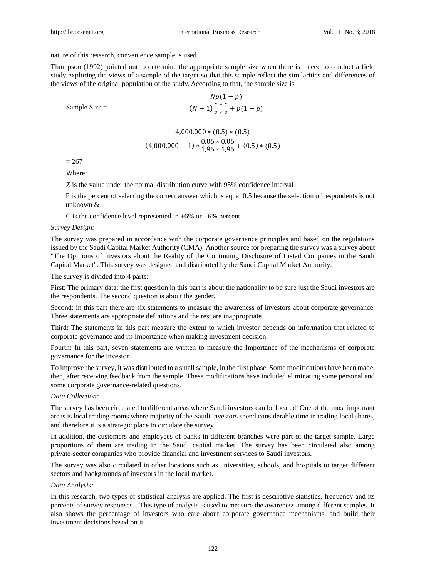nature of this research, convenience sample is used.

Thompson (1992) pointed out to determine the appropriate sample size when there is need to conduct a field study exploring the views of a sample of the target so that this sample reflect the similarities and differences of the views of the original population of the study. According to that, the sample size is

$$
Np(1-p)
$$
\nSample Size =

\n
$$
\frac{Np(1-p)}{(N-1)\frac{C*c}{Z*z} + p(1-p)}
$$

$$
\frac{4,000,000*(0.5)*(0.5)}{(4,000,000-1)*\frac{0.06*0.06}{1,96*1,96}+(0.5)*(0.5)}
$$

 $= 267$ 

Where:

Z is the value under the normal distribution curve with 95% confidence interval

P is the percent of selecting the correct answer which is equal 0.5 because the selection of respondents is not unknown &

C is the confidence level represented in +6% or - 6% percent

# *Survey Design:*

The survey was prepared in accordance with the corporate governance principles and based on the regulations issued by the Saudi Capital Market Authority (CMA). Another source for preparing the survey was a survey about "The Opinions of Investors about the Reality of the Continuing Disclosure of Listed Companies in the Saudi Capital Market". This survey was designed and distributed by the Saudi Capital Market Authority.

The survey is divided into 4 parts:

First: The primary data: the first question in this part is about the nationality to be sure just the Saudi investors are the respondents. The second question is about the gender.

Second: in this part there are six statements to measure the awareness of investors about corporate governance. Three statements are appropriate definitions and the rest are inappropriate.

Third: The statements in this part measure the extent to which investor depends on information that related to corporate governance and its importance when making investment decision.

Fourth: In this part, seven statements are written to measure the Importance of the mechanisms of corporate governance for the investor

To improve the survey, it was distributed to a small sample, in the first phase. Some modifications have been made, then, after receiving feedback from the sample. These modifications have included eliminating some personal and some corporate governance-related questions.

## *Data Collection:*

The survey has been circulated to different areas where Saudi investors can be located. One of the most important areas is local trading rooms where majority of the Saudi investors spend considerable time in trading local shares, and therefore it is a strategic place to circulate the survey.

In addition, the customers and employees of banks in different branches were part of the target sample. Large proportions of them are trading in the Saudi capital market. The survey has been circulated also among private-sector companies who provide financial and investment services to Saudi investors.

The survey was also circulated in other locations such as universities, schools, and hospitals to target different sectors and backgrounds of investors in the local market.

#### *Data Analysis:*

In this research, two types of statistical analysis are applied. The first is descriptive statistics, frequency and its percents of survey responses. This type of analysis is used to measure the awareness among different samples. It also shows the percentage of investors who care about corporate governance mechanisms, and build their investment decisions based on it.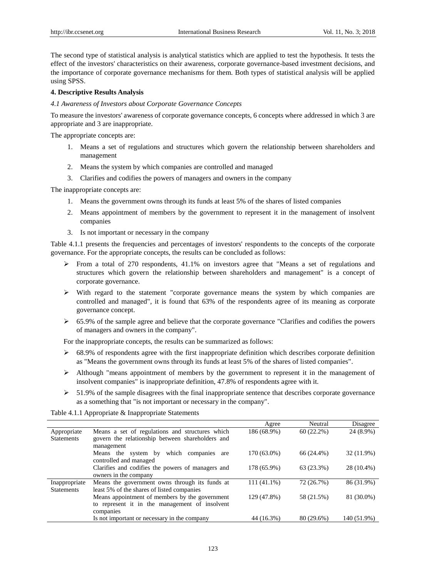The second type of statistical analysis is analytical statistics which are applied to test the hypothesis. It tests the effect of the investors' characteristics on their awareness, corporate governance-based investment decisions, and the importance of corporate governance mechanisms for them. Both types of statistical analysis will be applied using SPSS.

# **4. Descriptive Results Analysis**

## *4.1 Awareness of Investors about Corporate Governance Concepts*

To measure the investors' awareness of corporate governance concepts, 6 concepts where addressed in which 3 are appropriate and 3 are inappropriate.

The appropriate concepts are:

- 1. Means a set of regulations and structures which govern the relationship between shareholders and management
- 2. Means the system by which companies are controlled and managed
- 3. Clarifies and codifies the powers of managers and owners in the company

The inappropriate concepts are:

- 1. Means the government owns through its funds at least 5% of the shares of listed companies
- 2. Means appointment of members by the government to represent it in the management of insolvent companies
- 3. Is not important or necessary in the company

Table 4.1.1 presents the frequencies and percentages of investors' respondents to the concepts of the corporate governance. For the appropriate concepts, the results can be concluded as follows:

- $\triangleright$  From a total of 270 respondents, 41.1% on investors agree that "Means a set of regulations and structures which govern the relationship between shareholders and management" is a concept of corporate governance.
- $\triangleright$  With regard to the statement "corporate governance means the system by which companies are controlled and managed", it is found that 63% of the respondents agree of its meaning as corporate governance concept.
- $\geq 65.9\%$  of the sample agree and believe that the corporate governance "Clarifies and codifies the powers of managers and owners in the company".

For the inappropriate concepts, the results can be summarized as follows:

- $\geq$  68.9% of respondents agree with the first inappropriate definition which describes corporate definition as "Means the government owns through its funds at least 5% of the shares of listed companies".
- Although "means appointment of members by the government to represent it in the management of insolvent companies" is inappropriate definition, 47.8% of respondents agree with it.
- $\geq 51.9\%$  of the sample disagrees with the final inappropriate sentence that describes corporate governance as a something that "is not important or necessary in the company".

|                   |                                                                         | Agree         | Neutral      | Disagree    |
|-------------------|-------------------------------------------------------------------------|---------------|--------------|-------------|
| Appropriate       | Means a set of regulations and structures which                         | 186 (68.9%)   | $60(22.2\%)$ | 24 (8.9%)   |
| <b>Statements</b> | govern the relationship between shareholders and<br>management          |               |              |             |
|                   | Means the system by which<br>companies<br>are<br>controlled and managed | 170 (63.0%)   | 66 (24.4%)   | 32 (11.9%)  |
|                   | Clarifies and codifies the powers of managers and                       | 178 (65.9%)   | 63 (23.3%)   | 28 (10.4%)  |
|                   | owners in the company                                                   |               |              |             |
| Inappropriate     | Means the government owns through its funds at                          | $111(41.1\%)$ | 72 (26.7%)   | 86 (31.9%)  |
| <b>Statements</b> | least 5% of the shares of listed companies                              |               |              |             |
|                   | Means appointment of members by the government                          | 129 (47.8%)   | 58 (21.5%)   | 81 (30.0%)  |
|                   | to represent it in the management of insolvent                          |               |              |             |
|                   | companies                                                               |               |              |             |
|                   | Is not important or necessary in the company                            | 44 (16.3%)    | 80 (29.6%)   | 140 (51.9%) |

Table 4.1.1 Appropriate & Inappropriate Statements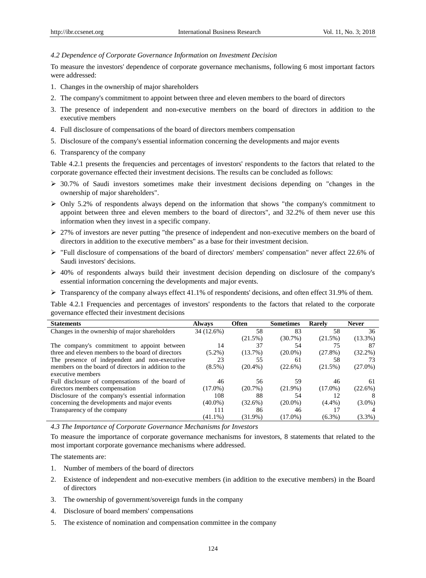# *4.2 Dependence of Corporate Governance Information on Investment Decision*

To measure the investors' dependence of corporate governance mechanisms, following 6 most important factors were addressed:

- 1. Changes in the ownership of major shareholders
- 2. The company's commitment to appoint between three and eleven members to the board of directors
- 3. The presence of independent and non-executive members on the board of directors in addition to the executive members
- 4. Full disclosure of compensations of the board of directors members compensation
- 5. Disclosure of the company's essential information concerning the developments and major events
- 6. Transparency of the company

Table 4.2.1 presents the frequencies and percentages of investors' respondents to the factors that related to the corporate governance effected their investment decisions. The results can be concluded as follows:

- $\geq$  30.7% of Saudi investors sometimes make their investment decisions depending on "changes in the ownership of major shareholders".
- $\triangleright$  Only 5.2% of respondents always depend on the information that shows "the company's commitment to appoint between three and eleven members to the board of directors", and 32.2% of them never use this information when they invest in a specific company.
- $\geq$  27% of investors are never putting "the presence of independent and non-executive members on the board of directors in addition to the executive members" as a base for their investment decision.
- $\triangleright$  "Full disclosure of compensations of the board of directors' members' compensation" never affect 22.6% of Saudi investors' decisions.
- $\geq$  40% of respondents always build their investment decision depending on disclosure of the company's essential information concerning the developments and major events.
- $\triangleright$  Transparency of the company always effect 41.1% of respondents' decisions, and often effect 31.9% of them.

Table 4.2.1 Frequencies and percentages of investors' respondents to the factors that related to the corporate governance effected their investment decisions

| <b>Statements</b>                                    | <b>Always</b> | <b>Often</b> | <b>Sometimes</b> | <b>Rarely</b> | <b>Never</b> |
|------------------------------------------------------|---------------|--------------|------------------|---------------|--------------|
| Changes in the ownership of major shareholders       | 34 (12.6%)    | 58           | 83               | 58            | 36           |
|                                                      |               | (21.5%)      | $(30.7\%)$       | (21.5%)       | $(13.3\%)$   |
| The company's commitment to appoint between          | 14            | 37           | 54               | 75            | 87           |
| three and eleven members to the board of directors   | $(5.2\%)$     | $(13.7\%)$   | $(20.0\%)$       | $(27.8\%)$    | $(32.2\%)$   |
| The presence of independent and non-executive        | 23            | 55           | 61               | 58            | 73           |
| members on the board of directors in addition to the | $(8.5\%)$     | $(20.4\%)$   | $(22.6\%)$       | $(21.5\%)$    | $(27.0\%)$   |
| executive members                                    |               |              |                  |               |              |
| Full disclosure of compensations of the board of     | 46            | 56           | 59               | 46            | 61           |
| directors members compensation                       | $(17.0\%)$    | (20.7%)      | $(21.9\%)$       | $(17.0\%)$    | $(22.6\%)$   |
| Disclosure of the company's essential information    | 108           | 88           | 54               | 12            |              |
| concerning the developments and major events         | $(40.0\%)$    | $(32.6\%)$   | $(20.0\%)$       | $(4.4\%)$     | $(3.0\%)$    |
| Transparency of the company                          | 111           | 86           | 46               |               |              |
|                                                      | $(41.1\%)$    | (31.9%)      | $(17.0\%)$       | $(6.3\%)$     | $(3.3\%)$    |

*4.3 The Importance of Corporate Governance Mechanisms for Investors*

To measure the importance of corporate governance mechanisms for investors, 8 statements that related to the most important corporate governance mechanisms where addressed.

The statements are:

- 1. Number of members of the board of directors
- 2. Existence of independent and non-executive members (in addition to the executive members) in the Board of directors
- 3. The ownership of government/sovereign funds in the company
- 4. Disclosure of board members' compensations
- 5. The existence of nomination and compensation committee in the company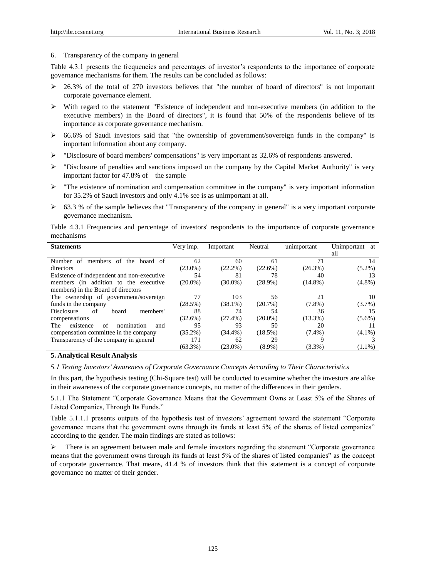### 6. Transparency of the company in general

Table 4.3.1 presents the frequencies and percentages of investor's respondents to the importance of corporate governance mechanisms for them. The results can be concluded as follows:

- $\geq$  26.3% of the total of 270 investors believes that "the number of board of directors" is not important corporate governance element.
- $\triangleright$  With regard to the statement "Existence of independent and non-executive members (in addition to the executive members) in the Board of directors", it is found that 50% of the respondents believe of its importance as corporate governance mechanism.
- 66.6% of Saudi investors said that "the ownership of government/sovereign funds in the company" is important information about any company.
- $\triangleright$  "Disclosure of board members' compensations" is very important as 32.6% of respondents answered.
- "Disclosure of penalties and sanctions imposed on the company by the Capital Market Authority" is very important factor for 47.8% of the sample
- $\triangleright$  "The existence of nomination and compensation committee in the company" is very important information for 35.2% of Saudi investors and only 4.1% see is as unimportant at all.
- $\geq 63.3$  % of the sample believes that "Transparency of the company in general" is a very important corporate governance mechanism.

Table 4.3.1 Frequencies and percentage of investors' respondents to the importance of corporate governance mechanisms

| <b>Statements</b>                            | Very imp.  | Important  | Neutral    | unimportant | Unimportant<br>at<br>all |
|----------------------------------------------|------------|------------|------------|-------------|--------------------------|
| members of the<br>Number of<br>board of      | 62         | 60         | 61         | 71          | 14                       |
| directors                                    | $(23.0\%)$ | $(22.2\%)$ | $(22.6\%)$ | $(26.3\%)$  | $(5.2\%)$                |
| Existence of independent and non-executive   | 54         | 81         | 78         | 40          | 13                       |
| members (in addition to the executive        | $(20.0\%)$ | $(30.0\%)$ | $(28.9\%)$ | $(14.8\%)$  | $(4.8\%)$                |
| members) in the Board of directors           |            |            |            |             |                          |
| The ownership of government/sovereign        | 77         | 103        | 56         | 21          | 10                       |
| funds in the company                         | (28.5%)    | $(38.1\%)$ | $(20.7\%)$ | $(7.8\%)$   | $(3.7\%)$                |
| <b>Disclosure</b><br>of<br>board<br>members' | 88         | 74         | 54         | 36          | 15                       |
| compensations                                | $(32.6\%)$ | $(27.4\%)$ | $(20.0\%)$ | $(13.3\%)$  | $(5.6\%)$                |
| of<br>nomination<br>existence<br>The<br>and  | 95         | 93         | 50         | 20          | 11                       |
| compensation committee in the company        | $(35.2\%)$ | $(34.4\%)$ | $(18.5\%)$ | $(7.4\%)$   | $(4.1\%)$                |
| Transparency of the company in general       | 171        | 62         | 29         | 9           |                          |
|                                              | $(63.3\%)$ | $(23.0\%)$ | $(8.9\%)$  | $(3.3\%)$   | $(1.1\%)$                |

# **5. Analytical Result Analysis**

# *5.1 Testing Investors' Awareness of Corporate Governance Concepts According to Their Characteristics*

In this part, the hypothesis testing (Chi-Square test) will be conducted to examine whether the investors are alike in their awareness of the corporate governance concepts, no matter of the differences in their genders.

5.1.1 The Statement "Corporate Governance Means that the Government Owns at Least 5% of the Shares of Listed Companies, Through Its Funds."

Table 5.1.1.1 presents outputs of the hypothesis test of investors' agreement toward the statement "Corporate governance means that the government owns through its funds at least 5% of the shares of listed companies" according to the gender. The main findings are stated as follows:

 $\triangleright$  There is an agreement between male and female investors regarding the statement "Corporate governance" means that the government owns through its funds at least 5% of the shares of listed companies" as the concept of corporate governance. That means, 41.4 % of investors think that this statement is a concept of corporate governance no matter of their gender.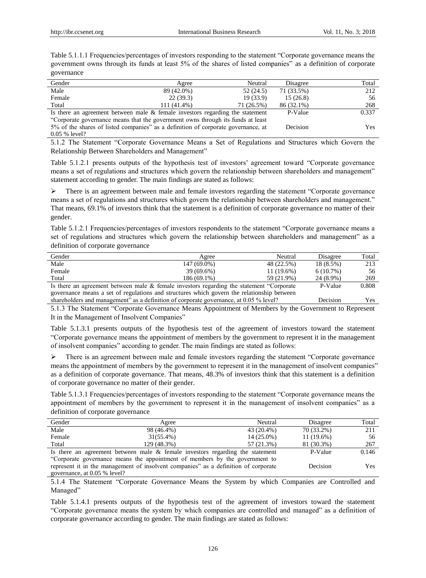Table 5.1.1.1 Frequencies/percentages of investors responding to the statement "Corporate governance means the government owns through its funds at least 5% of the shares of listed companies" as a definition of corporate governance

| Gender                                                                            | Agree         | Neutral    | Disagree   | Total |  |  |  |
|-----------------------------------------------------------------------------------|---------------|------------|------------|-------|--|--|--|
| Male                                                                              | 89 (42.0%)    | 52(24.5)   | 71 (33.5%) | 212   |  |  |  |
| Female                                                                            | 22(39.3)      | 19(33.9)   | 15(26.8)   | 56    |  |  |  |
| Total                                                                             | $111(41.4\%)$ | 71 (26.5%) | 86 (32.1%) | 268   |  |  |  |
| Is there an agreement between male $\&$ female investors regarding the statement  |               | P-Value    | 0.337      |       |  |  |  |
| "Corporate governance means that the government owns through its funds at least   |               |            |            |       |  |  |  |
| 5% of the shares of listed companies" as a definition of corporate governance, at |               | Decision   | Yes.       |       |  |  |  |
| $0.05 \%$ level?                                                                  |               |            |            |       |  |  |  |

5.1.2 The Statement "Corporate Governance Means a Set of Regulations and Structures which Govern the Relationship Between Shareholders and Management"

Table 5.1.2.1 presents outputs of the hypothesis test of investors' agreement toward "Corporate governance means a set of regulations and structures which govern the relationship between shareholders and management" statement according to gender. The main findings are stated as follows:

 $\triangleright$  There is an agreement between male and female investors regarding the statement "Corporate governance" means a set of regulations and structures which govern the relationship between shareholders and management." That means, 69.1% of investors think that the statement is a definition of corporate governance no matter of their gender.

Table 5.1.2.1 Frequencies/percentages of investors respondents to the statement "Corporate governance means a set of regulations and structures which govern the relationship between shareholders and management" as a definition of corporate governance

| Gender | Agree                                                                                      | Neutral      | Disagree    | Total |
|--------|--------------------------------------------------------------------------------------------|--------------|-------------|-------|
| Male   | 147 (69.0%)                                                                                | 48 (22.5%)   | 18 (8.5%)   | 213   |
| Female | $39(69.6\%)$                                                                               | $11(19.6\%)$ | $6(10.7\%)$ | 56    |
| Total  | 186 (69.1%)                                                                                | 59 (21.9%)   | 24 (8.9%)   | 269   |
|        | Is there an agreement between male & female investors regarding the statement "Corporate"  |              | P-Value     | 0.808 |
|        | covernance means a set of reculations and structures which govern the relationship between |              |             |       |

governance means a set of regulations and structures which govern the relationship between shareholders and management" as a definition of corporate governance, at 0.05 % level? Decision Yes

5.1.3 The Statement "Corporate Governance Means Appointment of Members by the Government to Represent It in the Management of Insolvent Companies"

Table 5.1.3.1 presents outputs of the hypothesis test of the agreement of investors toward the statement "Corporate governance means the appointment of members by the government to represent it in the management of insolvent companies" according to gender. The main findings are stated as follows:

 $\triangleright$  There is an agreement between male and female investors regarding the statement "Corporate governance" means the appointment of members by the government to represent it in the management of insolvent companies" as a definition of corporate governance. That means, 48.3% of investors think that this statement is a definition of corporate governance no matter of their gender.

Table 5.1.3.1 Frequencies/percentages of investors responding to the statement "Corporate governance means the appointment of members by the government to represent it in the management of insolvent companies" as a definition of corporate governance

| Gender                                                                        | Agree                                                                               | Neutral    | Disagree     | Total |
|-------------------------------------------------------------------------------|-------------------------------------------------------------------------------------|------------|--------------|-------|
| Male                                                                          | 98 (46.4%)                                                                          | 43 (20.4%) | 70 (33.2%)   | 211   |
| Female                                                                        | $31(55.4\%)$                                                                        | 14 (25.0%) | $11(19.6\%)$ | 56    |
| Total                                                                         | 129 (48.3%)                                                                         | 57 (21.3%) | 81 (30.3%)   | 267   |
| Is there an agreement between male & female investors regarding the statement |                                                                                     |            | P-Value      | 0.146 |
|                                                                               | "Corporate governance means the appointment of members by the government to         |            |              |       |
|                                                                               | represent it in the management of insolvent companies" as a definition of corporate |            | Decision     | Yes   |
| governance, at 0.05 % level?                                                  |                                                                                     |            |              |       |

5.1.4 The Statement "Corporate Governance Means the System by which Companies are Controlled and Managed"

Table 5.1.4.1 presents outputs of the hypothesis test of the agreement of investors toward the statement "Corporate governance means the system by which companies are controlled and managed" as a definition of corporate governance according to gender. The main findings are stated as follows: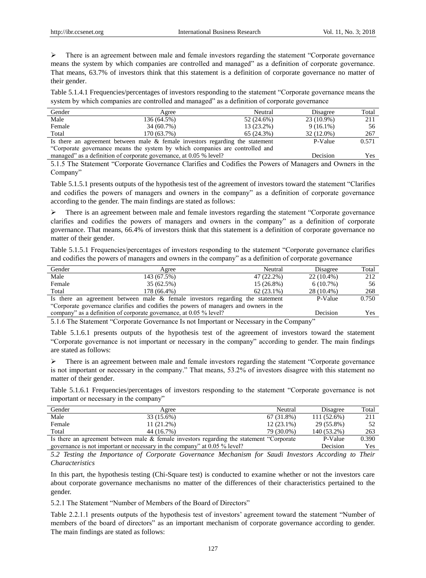$\triangleright$  There is an agreement between male and female investors regarding the statement "Corporate governance" means the system by which companies are controlled and managed" as a definition of corporate governance. That means, 63.7% of investors think that this statement is a definition of corporate governance no matter of their gender.

Table 5.1.4.1 Frequencies/percentages of investors responding to the statement "Corporate governance means the system by which companies are controlled and managed" as a definition of corporate governance

| Gender                                                                        | Agree                                                              | Neutral    | Disagree     | Total |
|-------------------------------------------------------------------------------|--------------------------------------------------------------------|------------|--------------|-------|
| Male                                                                          | 136 (64.5%)                                                        | 52 (24.6%) | $23(10.9\%)$ | 211   |
| Female                                                                        | 34 (60.7%)                                                         | 13 (23.2%) | $9(16.1\%)$  | 56    |
| Total                                                                         | 170 (63.7%)                                                        | 65 (24.3%) | $32(12.0\%)$ | 267   |
| Is there an agreement between male & female investors regarding the statement |                                                                    |            | P-Value      | 0.571 |
| "Corporate governance means the system by which companies are controlled and  |                                                                    |            |              |       |
|                                                                               | managed" as a definition of corporate governance, at 0.05 % level? |            | Decision     | Yes   |

5.1.5 The Statement "Corporate Governance Clarifies and Codifies the Powers of Managers and Owners in the Company"

Table 5.1.5.1 presents outputs of the hypothesis test of the agreement of investors toward the statement "Clarifies and codifies the powers of managers and owners in the company" as a definition of corporate governance according to the gender. The main findings are stated as follows:

 $\triangleright$  There is an agreement between male and female investors regarding the statement "Corporate governance" clarifies and codifies the powers of managers and owners in the company" as a definition of corporate governance. That means, 66.4% of investors think that this statement is a definition of corporate governance no matter of their gender.

Table 5.1.5.1 Frequencies/percentages of investors responding to the statement "Corporate governance clarifies and codifies the powers of managers and owners in the company" as a definition of corporate governance

| Gender                                                                                | Agree                                                                            | Neutral      | Disagree     | Total      |
|---------------------------------------------------------------------------------------|----------------------------------------------------------------------------------|--------------|--------------|------------|
| Male                                                                                  | 143 (67.5%)                                                                      | 47 (22.2%)   | $22(10.4\%)$ | 212        |
| Female                                                                                | 35(62.5%)                                                                        | $15(26.8\%)$ | $6(10.7\%)$  | 56         |
| Total                                                                                 | 178 (66.4%)                                                                      | $62(23.1\%)$ | $28(10.4\%)$ | 268        |
|                                                                                       | Is there an agreement between male $\&$ female investors regarding the statement |              | P-Value      | 0.750      |
| "Corporate governance clarifies and codifies the powers of managers and owners in the |                                                                                  |              |              |            |
|                                                                                       | company" as a definition of corporate governance, at 0.05 % level?               |              | Decision     | <b>Yes</b> |

5.1.6 The Statement "Corporate Governance Is not Important or Necessary in the Company"

Table 5.1.6.1 presents outputs of the hypothesis test of the agreement of investors toward the statement "Corporate governance is not important or necessary in the company" according to gender. The main findings are stated as follows:

 $\triangleright$  There is an agreement between male and female investors regarding the statement "Corporate governance" is not important or necessary in the company." That means, 53.2% of investors disagree with this statement no matter of their gender.

Table 5.1.6.1 Frequencies/percentages of investors responding to the statement "Corporate governance is not important or necessary in the company"

| Gender                                                                                       | Agree                                                                     | Neutral      | Disagree    | Total |
|----------------------------------------------------------------------------------------------|---------------------------------------------------------------------------|--------------|-------------|-------|
| Male                                                                                         | 33 (15.6%)                                                                | 67 (31.8%)   | 111 (52.6%) | 211   |
| Female                                                                                       | $11(21.2\%)$                                                              | $12(23.1\%)$ | 29 (55.8%)  | 52    |
| Total                                                                                        | 44 (16.7%)                                                                | 79 (30.0%)   | 140 (53.2%) | 263   |
| Is there an agreement between male $\&$ female investors regarding the statement "Corporate" |                                                                           |              | P-Value     | 0.390 |
|                                                                                              | governance is not important or necessary in the company" at 0.05 % level? |              | Decision    | Yes   |

*5.2 Testing the Importance of Corporate Governance Mechanism for Saudi Investors According to Their Characteristics*

In this part, the hypothesis testing (Chi-Square test) is conducted to examine whether or not the investors care about corporate governance mechanisms no matter of the differences of their characteristics pertained to the gender.

5.2.1 The Statement "Number of Members of the Board of Directors"

Table 2.2.1.1 presents outputs of the hypothesis test of investors' agreement toward the statement "Number of members of the board of directors" as an important mechanism of corporate governance according to gender. The main findings are stated as follows: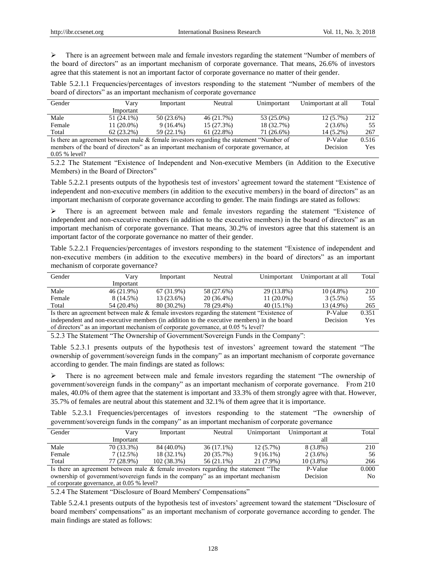$\triangleright$  There is an agreement between male and female investors regarding the statement "Number of members of the board of directors" as an important mechanism of corporate governance. That means, 26.6% of investors agree that this statement is not an important factor of corporate governance no matter of their gender.

Table 5.2.1.1 Frequencies/percentages of investors responding to the statement "Number of members of the board of directors" as an important mechanism of corporate governance

| Gender                                                                                   | Varv         | Important   | Neutral    | Unimportant | Unimportant at all | Total |
|------------------------------------------------------------------------------------------|--------------|-------------|------------|-------------|--------------------|-------|
|                                                                                          | Important    |             |            |             |                    |       |
| Male                                                                                     | 51 (24.1%)   | 50(23.6%)   | 46 (21.7%) | 53 (25.0%)  | $12(5.7\%)$        | 212   |
| Female                                                                                   | $11(20.0\%)$ | $9(16.4\%)$ | 15(27.3%)  | 18 (32.7%)  | $2(3.6\%)$         | 55    |
| Total                                                                                    | 62 (23.2%)   | 59 (22.1%)  | 61(22.8%)  | 71 (26.6%)  | 14 (5.2%)          | 267   |
| Is there an agreement between male & female investors regarding the statement "Number of |              |             |            |             | P-Value            | 0.516 |
| members of the board of directors" as an important mechanism of corporate governance, at |              |             |            |             | Decision           | Yes   |
| $0.05\%$ level?                                                                          |              |             |            |             |                    |       |

5.2.2 The Statement "Existence of Independent and Non-executive Members (in Addition to the Executive Members) in the Board of Directors"

Table 5.2.2.1 presents outputs of the hypothesis test of investors' agreement toward the statement "Existence of independent and non-executive members (in addition to the executive members) in the board of directors" as an important mechanism of corporate governance according to gender. The main findings are stated as follows:

 There is an agreement between male and female investors regarding the statement "Existence of independent and non-executive members (in addition to the executive members) in the board of directors" as an important mechanism of corporate governance. That means, 30.2% of investors agree that this statement is an important factor of the corporate governance no matter of their gender.

Table 5.2.2.1 Frequencies/percentages of investors responding to the statement "Existence of independent and non-executive members (in addition to the executive members) in the board of directors" as an important mechanism of corporate governance?

| Gender                                                                                      | Varv       | Important  | Neutral      | Unimportant  | Unimportant at all | Total |
|---------------------------------------------------------------------------------------------|------------|------------|--------------|--------------|--------------------|-------|
|                                                                                             | Important  |            |              |              |                    |       |
| Male                                                                                        | 46 (21.9%) | 67 (31.9%) | 58 (27.6%)   | 29 (13.8%)   | $10(4.8\%)$        | 210   |
| Female                                                                                      | 8 (14.5%)  | 13(23.6%)  | $20(36.4\%)$ | $11(20.0\%)$ | $3(5.5\%)$         | 55    |
| Total                                                                                       | 54 (20.4%) | 80 (30.2%) | 78 (29.4%)   | $40(15.1\%)$ | 13 (4.9%)          | 265   |
| Is there an agreement between male & female investors regarding the statement "Existence of |            |            |              |              | P-Value            | 0.351 |
| independent and non-executive members (in addition to the executive members) in the board   |            |            |              |              | Decision           | Yes   |
| of directors" as an important mechanism of corporate governance, at 0.05 $\%$ level?        |            |            |              |              |                    |       |

5.2.3 The Statement "The Ownership of Government/Sovereign Funds in the Company":

Table 5.2.3.1 presents outputs of the hypothesis test of investors' agreement toward the statement "The ownership of government/sovereign funds in the company" as an important mechanism of corporate governance according to gender. The main findings are stated as follows:

 $\triangleright$  There is no agreement between male and female investors regarding the statement "The ownership of government/sovereign funds in the company" as an important mechanism of corporate governance. From 210 males, 40.0% of them agree that the statement is important and 33.3% of them strongly agree with that. However, 35.7% of females are neutral about this statement and 32.1% of them agree that it is importance.

Table 5.2.3.1 Frequencies/percentages of investors responding to the statement "The ownership of government/sovereign funds in the company" as an important mechanism of corporate governance

| Gender                                                                             | Varv       | Important    | Neutral    | Unimportant | Unimportant at | Total |
|------------------------------------------------------------------------------------|------------|--------------|------------|-------------|----------------|-------|
|                                                                                    | Important  |              |            |             | all            |       |
| Male                                                                               | 70 (33.3%) | 84 (40.0%)   | 36 (17.1%) | $12(5.7\%)$ | 8 (3.8%)       | 210   |
| Female                                                                             | 7(12.5%)   | $18(32.1\%)$ | 20 (35.7%) | $9(16.1\%)$ | $2(3.6\%)$     | 56    |
| Total                                                                              | 77 (28.9%) | 102(38.3%)   | 56 (21.1%) | 21 (7.9%)   | $10(3.8\%)$    | 266   |
| Is there an agreement between male & female investors regarding the statement "The |            |              |            |             | P-Value        | 0.000 |
| ownership of government/sovereign funds in the company" as an important mechanism  |            |              |            |             | Decision       | No    |
|                                                                                    |            |              |            |             |                |       |

of corporate governance, at 0.05 % level?

5.2.4 The Statement "Disclosure of Board Members' Compensations"

Table 5.2.4.1 presents outputs of the hypothesis test of investors' agreement toward the statement "Disclosure of board members' compensations" as an important mechanism of corporate governance according to gender. The main findings are stated as follows: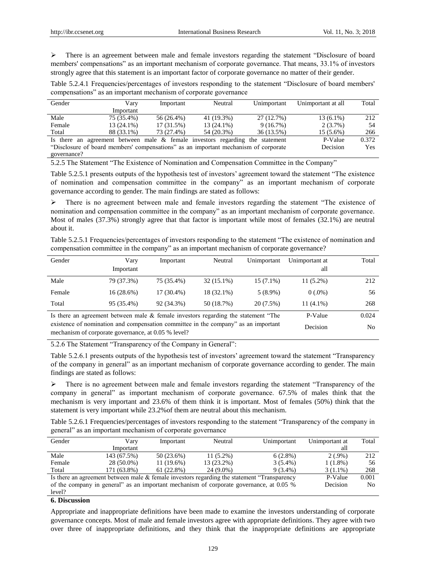$\triangleright$  There is an agreement between male and female investors regarding the statement "Disclosure of board" members' compensations" as an important mechanism of corporate governance. That means, 33.1% of investors strongly agree that this statement is an important factor of corporate governance no matter of their gender.

Table 5.2.4.1 Frequencies/percentages of investors responding to the statement "Disclosure of board members' compensations" as an important mechanism of corporate governance

| Gender                                                                              | Vary         | Important  | Neutral      | Unimportant | Unimportant at all | Total      |
|-------------------------------------------------------------------------------------|--------------|------------|--------------|-------------|--------------------|------------|
|                                                                                     | Important    |            |              |             |                    |            |
| Male                                                                                | 75 (35.4%)   | 56 (26.4%) | 41 (19.3%)   | 27 (12.7%)  | $13(6.1\%)$        | 212        |
| Female                                                                              | $13(24.1\%)$ | 17(31.5%)  | $13(24.1\%)$ | 9(16.7%)    | 2(3.7%)            | .54        |
| Total                                                                               | 88 (33.1%)   | 73 (27.4%) | 54 (20.3%)   | 36 (13.5%)  | $15(5.6\%)$        | 266        |
| Is there an agreement between male $\&$ female investors regarding the statement    |              |            |              |             | P-Value            | 0.372      |
| "Disclosure of board members' compensations" as an important mechanism of corporate |              |            |              |             | Decision           | <b>Yes</b> |
| governance?                                                                         |              |            |              |             |                    |            |

5.2.5 The Statement "The Existence of Nomination and Compensation Committee in the Company"

Table 5.2.5.1 presents outputs of the hypothesis test of investors' agreement toward the statement "The existence of nomination and compensation committee in the company" as an important mechanism of corporate governance according to gender. The main findings are stated as follows:

 $\triangleright$  There is no agreement between male and female investors regarding the statement "The existence of nomination and compensation committee in the company" as an important mechanism of corporate governance. Most of males (37.3%) strongly agree that that factor is important while most of females (32.1%) are neutral about it.

Table 5.2.5.1 Frequencies/percentages of investors responding to the statement "The existence of nomination and compensation committee in the company" as an important mechanism of corporate governance?

| Gender                                                                             | Varv                                                                                  | Important  | Neutral      | Unimportant | Unimportant at | Total |
|------------------------------------------------------------------------------------|---------------------------------------------------------------------------------------|------------|--------------|-------------|----------------|-------|
|                                                                                    | Important                                                                             |            |              |             | all            |       |
| Male                                                                               | 79 (37.3%)                                                                            | 75 (35.4%) | $32(15.1\%)$ | 15 (7.1%)   | $11(5.2\%)$    | 212   |
| Female                                                                             | 16(28.6%)                                                                             | 17 (30.4%) | 18 (32.1%)   | $5(8.9\%)$  | $0(.0\%)$      | 56    |
| Total                                                                              | 95 (35.4%)                                                                            | 92 (34.3%) | 50 (18.7%)   | 20 (7.5%)   | $11(4.1\%)$    | 268   |
|                                                                                    | Is there an agreement between male $\&$ female investors regarding the statement "The | P-Value    | 0.024        |             |                |       |
| existence of nomination and compensation committee in the company" as an important |                                                                                       |            |              |             | Decision       | No    |
| mechanism of corporate governance, at 0.05 % level?                                |                                                                                       |            |              |             |                |       |

5.2.6 The Statement "Transparency of the Company in General":

Table 5.2.6.1 presents outputs of the hypothesis test of investors' agreement toward the statement "Transparency of the company in general" as an important mechanism of corporate governance according to gender. The main findings are stated as follows:

 $\triangleright$  There is no agreement between male and female investors regarding the statement "Transparency of the company in general" as important mechanism of corporate governance. 67.5% of males think that the mechanism is very important and 23.6% of them think it is important. Most of females (50%) think that the statement is very important while 23.2%of them are neutral about this mechanism.

Table 5.2.6.1 Frequencies/percentages of investors responding to the statement "Transparency of the company in general" as an important mechanism of corporate governance

| Gender                                                                                          | Varv        | Important    | Neutral     | Unimportant | Unimportant at | Total |
|-------------------------------------------------------------------------------------------------|-------------|--------------|-------------|-------------|----------------|-------|
|                                                                                                 | Important   |              |             |             | all            |       |
| Male                                                                                            | 143 (67.5%) | 50 (23.6%)   | $11(5.2\%)$ | $6(2.8\%)$  | $2(0.9\%)$     | 212   |
| Female                                                                                          | 28 (50.0%)  | $11(19.6\%)$ | 13 (23.2%)  | $3(5.4\%)$  | $1(1.8\%)$     | 56    |
| Total                                                                                           | 171 (63.8%) | 61(22.8%)    | $24(9.0\%)$ | $9(3.4\%)$  | $3(1.1\%)$     | 268   |
| Is there an agreement between male $\&$ female investors regarding the statement "Transparency" | P-Value     | 0.001        |             |             |                |       |
| of the company in general" as an important mechanism of corporate governance, at 0.05 %         |             |              |             |             | Decision       | No    |
| level?                                                                                          |             |              |             |             |                |       |

#### **6. Discussion**

Appropriate and inappropriate definitions have been made to examine the investors understanding of corporate governance concepts. Most of male and female investors agree with appropriate definitions. They agree with two over three of inappropriate definitions, and they think that the inappropriate definitions are appropriate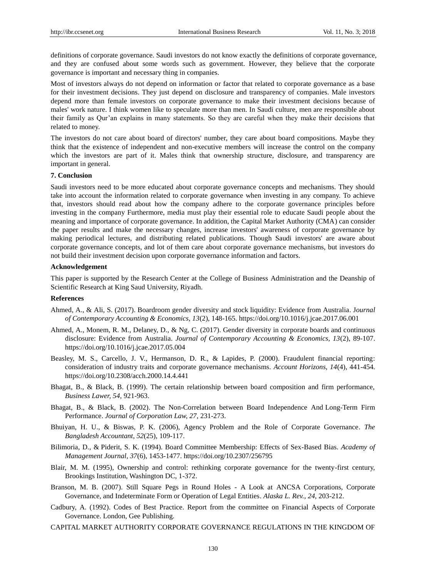definitions of corporate governance. Saudi investors do not know exactly the definitions of corporate governance, and they are confused about some words such as government. However, they believe that the corporate governance is important and necessary thing in companies.

Most of investors always do not depend on information or factor that related to corporate governance as a base for their investment decisions. They just depend on disclosure and transparency of companies. Male investors depend more than female investors on corporate governance to make their investment decisions because of males' work nature. I think women like to speculate more than men. In Saudi culture, men are responsible about their family as Qur'an explains in many statements. So they are careful when they make their decisions that related to money.

The investors do not care about board of directors' number, they care about board compositions. Maybe they think that the existence of independent and non-executive members will increase the control on the company which the investors are part of it. Males think that ownership structure, disclosure, and transparency are important in general.

# **7. Conclusion**

Saudi investors need to be more educated about corporate governance concepts and mechanisms. They should take into account the information related to corporate governance when investing in any company. To achieve that, investors should read about how the company adhere to the corporate governance principles before investing in the company Furthermore, media must play their essential role to educate Saudi people about the meaning and importance of corporate governance. In addition, the Capital Market Authority (CMA) can consider the paper results and make the necessary changes, increase investors' awareness of corporate governance by making periodical lectures, and distributing related publications. Though Saudi investors' are aware about corporate governance concepts, and lot of them care about corporate governance mechanisms, but investors do not build their investment decision upon corporate governance information and factors.

# **Acknowledgement**

This paper is supported by the Research Center at the College of Business Administration and the Deanship of Scientific Research at King Saud University, Riyadh.

## **References**

- Ahmed, A., & Ali, S. (2017). Boardroom gender diversity and stock liquidity: Evidence from Australia. J*ournal of Contemporary Accounting & Economics, 13*(2), 148-165. https://doi.org/10.1016/j.jcae.2017.06.001
- Ahmed, A., Monem, R. M., Delaney, D., & Ng, C. (2017). Gender diversity in corporate boards and continuous disclosure: Evidence from Australia. *Journal of Contemporary Accounting & Economics, 13*(2), 89-107. https://doi.org/10.1016/j.jcae.2017.05.004
- Beasley, M. S., Carcello, J. V., Hermanson, D. R., & Lapides, P. (2000). Fraudulent financial reporting: consideration of industry traits and corporate governance mechanisms. *Account Horizons, 14*(4), 441-454. https://doi.org/10.2308/acch.2000.14.4.441
- Bhagat, B., & Black, B. (1999). The certain relationship between board composition and firm performance, *Business Lawer, 54,* 921-963.
- Bhagat, B., & Black, B. (2002). The Non-Correlation between Board Independence And Long-Term Firm Performance. *Journal of Corporation Law, 27,* 231-273.
- Bhuiyan, H. U., & Biswas, P. K. (2006), Agency Problem and the Role of Corporate Governance. *The Bangladesh Accountant, 52*(25), 109-117.
- [Bilimoria,](http://amj.aom.org/search?author1=Diana+Bilimoria&sortspec=date&submit=Submit) D., & Piderit, S. K. (1994). Board Committee Membership: Effects of Sex-Based Bias. *Academy of Management Journal, 37*(6), 1453-1477. https://doi.org/10.2307/256795
- Blair, M. M. (1995), Ownership and control: rethinking corporate governance for the twenty-first century, Brookings Institution, Washington DC, 1-372.
- Branson, M. B. (2007). Still Square Pegs in Round Holes A Look at ANCSA Corporations, Corporate Governance, and Indeterminate Form or Operation of Legal Entities. *Alaska L. Rev., 24,* 203-212.
- Cadbury, A. (1992). Codes of Best Practice. Report from the committee on Financial Aspects of Corporate Governance. London, Gee Publishing.
- CAPITAL MARKET AUTHORITY CORPORATE GOVERNANCE REGULATIONS IN THE KINGDOM OF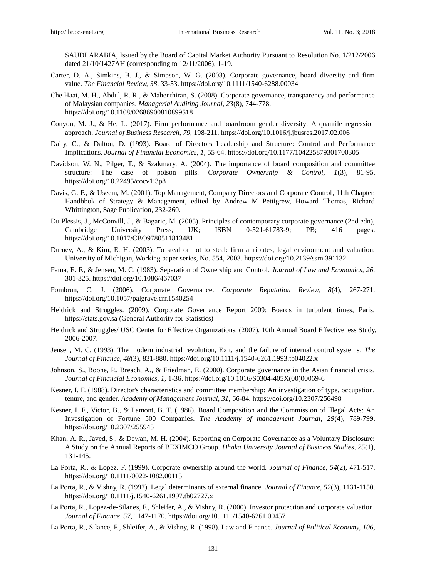SAUDI ARABIA, Issued by the Board of Capital Market Authority Pursuant to Resolution No. 1/212/2006 dated 21/10/1427AH (corresponding to 12/11/2006), 1-19.

- Carter, D. A., Simkins, B. J., & Simpson, W. G. (2003). Corporate governance, board diversity and firm value. *The Financial Review, 38*, 33-53. https://doi.org/10.1111/1540-6288.00034
- Che Haat, M. H., Abdul, R. R., & Mahenthiran, S. (2008). Corporate governance, transparency and performance of Malaysian companies. *Managerial Auditing Journal, 23*(8), 744-778. https://doi.org/10.1108/02686900810899518
- Conyon, M. J., & He, L. (2017). Firm performance and boardroom gender diversity: A quantile regression approach. *Journal of Business Research, 79,* 198-211. https://doi.org/10.1016/j.jbusres.2017.02.006
- Daily, C., & Dalton, D. (1993). Board of Directors Leadership and Structure: Control and Performance Implications. *Journal of Financial Economics, 1,* 55-64. https://doi.org/10.1177/104225879301700305
- Davidson, W. N., Pilger, T., & Szakmary, A. (2004). The importance of board composition and committee structure: The case of poison pills. *Corporate Ownership & Control, 1*(3), 81-95. https://doi.org/10.22495/cocv1i3p8
- Davis, G. F., & Useem, M. (2001). Top Management, Company Directors and Corporate Control, 11th Chapter, Handbbok of Strategy & Management, edited by Andrew M Pettigrew, Howard Thomas, Richard Whittington, Sage Publication, 232-260.
- Du Plessis, J., McConvill, J., & Bagaric, M. (2005). Principles of contemporary corporate governance (2nd edn), Cambridge University Press, UK; ISBN 0-521-61783-9; PB; 416 pages. https://doi.org/10.1017/CBO9780511813481
- Durnev, A., & Kim, E. H. (2003). To steal or not to steal: firm attributes, legal environment and valuation. University of Michigan, Working paper series, No. 554, 2003. https://doi.org/10.2139/ssrn.391132
- Fama, E. F., & Jensen, M. C. (1983). Separation of Ownership and Control. *Journal of Law and Economics, 26,* 301-325. https://doi.org/10.1086/467037
- Fombrun, C. J. (2006). Corporate Governance. *Corporate Reputation Review, 8*(4), 267-271. https://doi.org/10.1057/palgrave.crr.1540254
- Heidrick and Struggles. (2009). Corporate Governance Report 2009: Boards in turbulent times, Paris. [https://stats.gov.sa](https://stats.gov.sa/) (General Authority for Statistics)
- Heidrick and Struggles/ USC Center for Effective Organizations. (2007). 10th Annual Board Effectiveness Study, 2006-2007.
- Jensen, M. C. (1993). The modern industrial revolution, Exit, and the failure of internal control systems. *The Journal of Finance, 48*(3), 831-880. https://doi.org/10.1111/j.1540-6261.1993.tb04022.x
- Johnson, S., Boone, P., Breach, A., & Friedman, E. (2000). Corporate governance in the Asian financial crisis. *Journal of Financial Economics, 1,* 1-36. https://doi.org/10.1016/S0304-405X(00)00069-6
- Kesner, I. F. (1988). Director's characteristics and committee membership: An investigation of type, occupation, tenure, and gender. *Academy of Management Journal, 31,* 66-84. https://doi.org/10.2307/256498
- Kesner, I. F., Victor, B., & Lamont, B. T. (1986). Board Composition and the Commission of Illegal Acts: An Investigation of Fortune 500 Companies. *The Academy of management Journal, 29*(4), 789-799. https://doi.org/10.2307/255945
- Khan, A. R., Javed, S., & Dewan, M. H. (2004). Reporting on Corporate Governance as a Voluntary Disclosure: A Study on the Annual Reports of BEXIMCO Group. *Dhaka University Journal of Business Studies, 25*(1), 131-145.
- La Porta, R., & Lopez, F. (1999). Corporate ownership around the world. *Journal of Finance, 54*(2), 471-517. https://doi.org/10.1111/0022-1082.00115
- La Porta, R., & Vishny, R. (1997). Legal determinants of external finance. *Journal of Finance, 52*(3), 1131-1150. https://doi.org/10.1111/j.1540-6261.1997.tb02727.x
- La Porta, R., Lopez-de-Silanes, F., Shleifer, A., & Vishny, R. (2000). Investor protection and corporate valuation. *Journal of Finance, 57,* 1147-1170. https://doi.org/10.1111/1540-6261.00457
- La Porta, R., Silance, F., Shleifer, A., & Vishny, R. (1998). Law and Finance. *Journal of Political Economy, 106,*